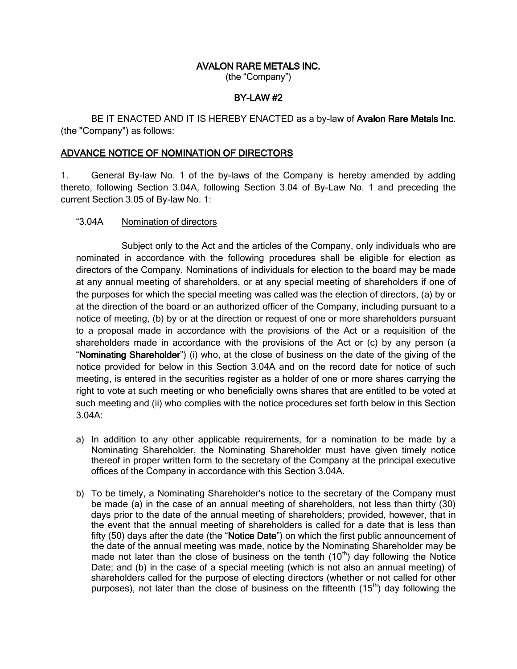## AVALON RARE METALS INC.

(the "Company")

## BY-LAW #2

BE IT ENACTED AND IT IS HEREBY ENACTED as a by-law of Avalon Rare Metals Inc. (the "Company") as follows:

## ADVANCE NOTICE OF NOMINATION OF DIRECTORS

1. General By-law No. 1 of the by-laws of the Company is hereby amended by adding thereto, following Section 3.04A, following Section 3.04 of By-Law No. 1 and preceding the current Section 3.05 of By-law No. 1:

## "3.04A Nomination of directors

Subject only to the Act and the articles of the Company, only individuals who are nominated in accordance with the following procedures shall be eligible for election as directors of the Company. Nominations of individuals for election to the board may be made at any annual meeting of shareholders, or at any special meeting of shareholders if one of the purposes for which the special meeting was called was the election of directors, (a) by or at the direction of the board or an authorized officer of the Company, including pursuant to a notice of meeting, (b) by or at the direction or request of one or more shareholders pursuant to a proposal made in accordance with the provisions of the Act or a requisition of the shareholders made in accordance with the provisions of the Act or (c) by any person (a "Nominating Shareholder") (i) who, at the close of business on the date of the giving of the notice provided for below in this Section 3.04A and on the record date for notice of such meeting, is entered in the securities register as a holder of one or more shares carrying the right to vote at such meeting or who beneficially owns shares that are entitled to be voted at such meeting and (ii) who complies with the notice procedures set forth below in this Section 3.04A:

- a) In addition to any other applicable requirements, for a nomination to be made by a Nominating Shareholder, the Nominating Shareholder must have given timely notice thereof in proper written form to the secretary of the Company at the principal executive offices of the Company in accordance with this Section 3.04A.
- b) To be timely, a Nominating Shareholder's notice to the secretary of the Company must be made (a) in the case of an annual meeting of shareholders, not less than thirty (30) days prior to the date of the annual meeting of shareholders; provided, however, that in the event that the annual meeting of shareholders is called for a date that is less than fifty (50) days after the date (the "Notice Date") on which the first public announcement of the date of the annual meeting was made, notice by the Nominating Shareholder may be made not later than the close of business on the tenth  $(10<sup>th</sup>)$  day following the Notice Date; and (b) in the case of a special meeting (which is not also an annual meeting) of shareholders called for the purpose of electing directors (whether or not called for other purposes), not later than the close of business on the fifteenth  $(15<sup>th</sup>)$  day following the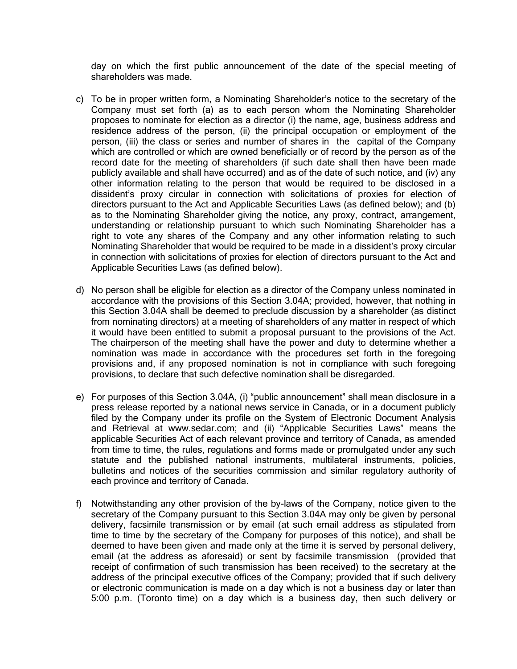day on which the first public announcement of the date of the special meeting of shareholders was made.

- c) To be in proper written form, a Nominating Shareholder's notice to the secretary of the Company must set forth (a) as to each person whom the Nominating Shareholder proposes to nominate for election as a director (i) the name, age, business address and residence address of the person, (ii) the principal occupation or employment of the person, (iii) the class or series and number of shares in the capital of the Company which are controlled or which are owned beneficially or of record by the person as of the record date for the meeting of shareholders (if such date shall then have been made publicly available and shall have occurred) and as of the date of such notice, and (iv) any other information relating to the person that would be required to be disclosed in a dissident's proxy circular in connection with solicitations of proxies for election of directors pursuant to the Act and Applicable Securities Laws (as defined below); and (b) as to the Nominating Shareholder giving the notice, any proxy, contract, arrangement, understanding or relationship pursuant to which such Nominating Shareholder has a right to vote any shares of the Company and any other information relating to such Nominating Shareholder that would be required to be made in a dissident's proxy circular in connection with solicitations of proxies for election of directors pursuant to the Act and Applicable Securities Laws (as defined below).
- d) No person shall be eligible for election as a director of the Company unless nominated in accordance with the provisions of this Section 3.04A; provided, however, that nothing in this Section 3.04A shall be deemed to preclude discussion by a shareholder (as distinct from nominating directors) at a meeting of shareholders of any matter in respect of which it would have been entitled to submit a proposal pursuant to the provisions of the Act. The chairperson of the meeting shall have the power and duty to determine whether a nomination was made in accordance with the procedures set forth in the foregoing provisions and, if any proposed nomination is not in compliance with such foregoing provisions, to declare that such defective nomination shall be disregarded.
- e) For purposes of this Section 3.04A, (i) "public announcement" shall mean disclosure in a press release reported by a national news service in Canada, or in a document publicly filed by the Company under its profile on the System of Electronic Document Analysis and Retrieval at www.sedar.com; and (ii) "Applicable Securities Laws" means the applicable Securities Act of each relevant province and territory of Canada, as amended from time to time, the rules, regulations and forms made or promulgated under any such statute and the published national instruments, multilateral instruments, policies, bulletins and notices of the securities commission and similar regulatory authority of each province and territory of Canada.
- f) Notwithstanding any other provision of the by-laws of the Company, notice given to the secretary of the Company pursuant to this Section 3.04A may only be given by personal delivery, facsimile transmission or by email (at such email address as stipulated from time to time by the secretary of the Company for purposes of this notice), and shall be deemed to have been given and made only at the time it is served by personal delivery, email (at the address as aforesaid) or sent by facsimile transmission (provided that receipt of confirmation of such transmission has been received) to the secretary at the address of the principal executive offices of the Company; provided that if such delivery or electronic communication is made on a day which is not a business day or later than 5:00 p.m. (Toronto time) on a day which is a business day, then such delivery or